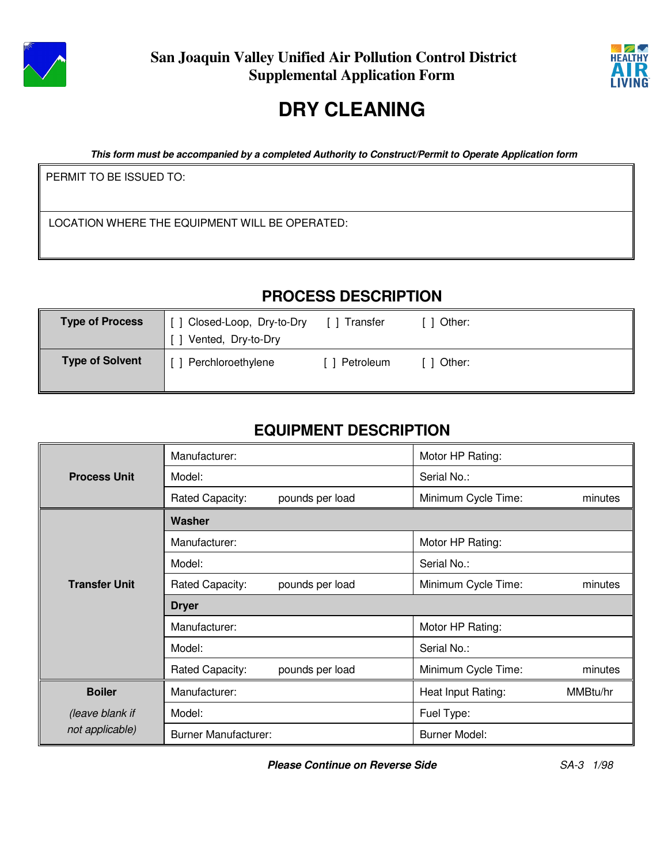



# **DRY CLEANING**

**This form must be accompanied by a completed Authority to Construct/Permit to Operate Application form**

PERMIT TO BE ISSUED TO:

LOCATION WHERE THE EQUIPMENT WILL BE OPERATED:

## **PROCESS DESCRIPTION**

| <b>Type of Process</b> | Closed-Loop, Dry-to-Dry<br>Vented, Dry-to-Dry | Transfer  | Other: |
|------------------------|-----------------------------------------------|-----------|--------|
| <b>Type of Solvent</b> | Perchloroethylene                             | Petroleum | Other: |

# **EQUIPMENT DESCRIPTION**

|                      | Manufacturer:                      | Motor HP Rating:               |  |  |  |
|----------------------|------------------------------------|--------------------------------|--|--|--|
| <b>Process Unit</b>  | Model:                             | Serial No.:                    |  |  |  |
|                      | Rated Capacity:<br>pounds per load | Minimum Cycle Time:<br>minutes |  |  |  |
|                      | Washer                             |                                |  |  |  |
|                      | Manufacturer:                      | Motor HP Rating:               |  |  |  |
|                      | Model:                             | Serial No.:                    |  |  |  |
| <b>Transfer Unit</b> | Rated Capacity:<br>pounds per load | Minimum Cycle Time:<br>minutes |  |  |  |
|                      | <b>Dryer</b>                       |                                |  |  |  |
|                      | Manufacturer:                      | Motor HP Rating:               |  |  |  |
|                      | Model:                             | Serial No.:                    |  |  |  |
|                      | Rated Capacity:<br>pounds per load | Minimum Cycle Time:<br>minutes |  |  |  |
| <b>Boiler</b>        | Manufacturer:                      | MMBtu/hr<br>Heat Input Rating: |  |  |  |
| (leave blank if      | Model:                             | Fuel Type:                     |  |  |  |
| not applicable)      | <b>Burner Manufacturer:</b>        | <b>Burner Model:</b>           |  |  |  |

**Please Continue on Reverse Side** SA-3 1/98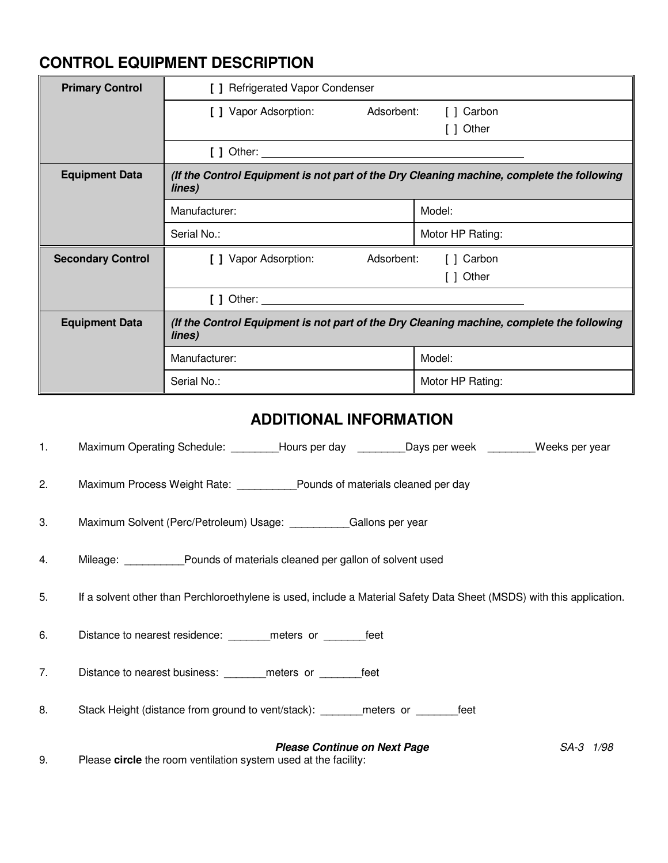### **CONTROL EQUIPMENT DESCRIPTION**

| <b>Primary Control</b>   | [ ] Refrigerated Vapor Condenser                                                                    |                  |  |  |
|--------------------------|-----------------------------------------------------------------------------------------------------|------------------|--|--|
|                          | [ ] Vapor Adsorption:<br>Adsorbent:                                                                 | [ ] Carbon       |  |  |
|                          |                                                                                                     | Other            |  |  |
|                          | [ ] Other:                                                                                          |                  |  |  |
| <b>Equipment Data</b>    | (If the Control Equipment is not part of the Dry Cleaning machine, complete the following<br>lines) |                  |  |  |
|                          | Manufacturer:                                                                                       | Model:           |  |  |
|                          | Serial No.:                                                                                         | Motor HP Rating: |  |  |
| <b>Secondary Control</b> | [ ] Vapor Adsorption:<br>Adsorbent:<br>[ ] Carbon                                                   |                  |  |  |
|                          | Other                                                                                               |                  |  |  |
|                          | [ ] Other:                                                                                          |                  |  |  |
| <b>Equipment Data</b>    | (If the Control Equipment is not part of the Dry Cleaning machine, complete the following<br>lines) |                  |  |  |
|                          | Manufacturer:                                                                                       | Model:           |  |  |
|                          | Serial No.:                                                                                         | Motor HP Rating: |  |  |

#### **ADDITIONAL INFORMATION**

1. Maximum Operating Schedule: \_\_\_\_\_\_\_\_Hours per day \_\_\_\_\_\_\_\_\_Days per week \_\_\_\_\_\_\_\_Weeks per year

2. Maximum Process Weight Rate: \_\_\_\_\_\_\_\_\_\_Pounds of materials cleaned per day

3. Maximum Solvent (Perc/Petroleum) Usage: \_\_\_\_\_\_\_\_\_\_Gallons per year

4. Mileage: \_\_\_\_\_\_\_\_\_\_Pounds of materials cleaned per gallon of solvent used

5. If a solvent other than Perchloroethylene is used, include a Material Safety Data Sheet (MSDS) with this application.

6. Distance to nearest residence: \_\_\_\_\_\_\_meters or \_\_\_\_\_\_\_feet

7. Distance to nearest business: \_\_\_\_\_\_\_ meters or \_\_\_\_\_\_\_feet

8. Stack Height (distance from ground to vent/stack): \_\_\_\_\_\_\_meters or \_\_\_\_\_\_\_feet

**Please Continue on Next Page SA-3 1/98** 

9. Please **circle** the room ventilation system used at the facility: